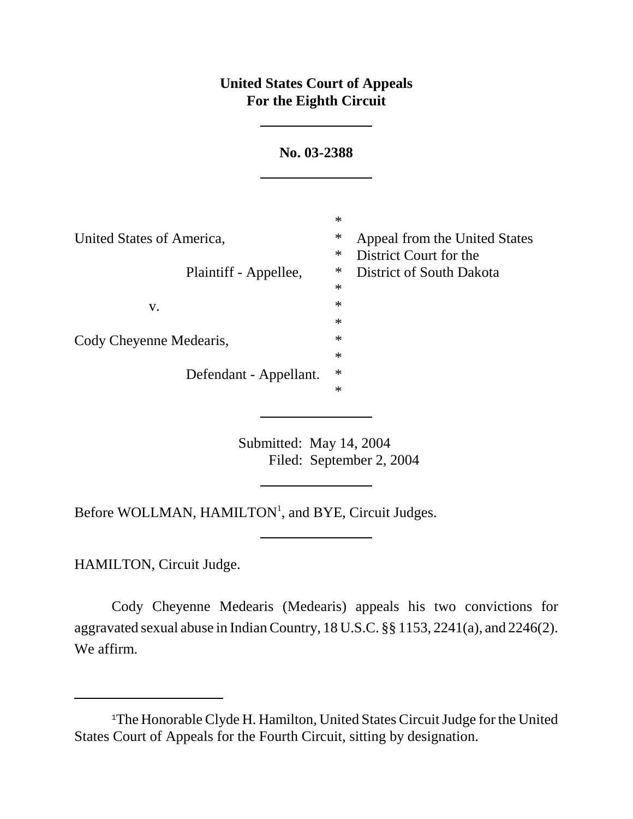## **United States Court of Appeals For the Eighth Circuit**

| No. 03-2388               |                  |                                                         |
|---------------------------|------------------|---------------------------------------------------------|
|                           | $\ast$           |                                                         |
| United States of America, | ∗<br>$\ast$      | Appeal from the United States<br>District Court for the |
| Plaintiff - Appellee,     | $\ast$<br>$\ast$ | District of South Dakota                                |
| V.                        | $\ast$<br>$\ast$ |                                                         |
| Cody Cheyenne Medearis,   | $\ast$<br>$\ast$ |                                                         |
| Defendant - Appellant.    | $\ast$<br>$\ast$ |                                                         |

Submitted: May 14, 2004 Filed: September 2, 2004

Before WOLLMAN, HAMILTON<sup>1</sup>, and BYE, Circuit Judges.

HAMILTON, Circuit Judge.

Cody Cheyenne Medearis (Medearis) appeals his two convictions for aggravated sexual abuse in Indian Country, 18 U.S.C. §§ 1153, 2241(a), and 2246(2). We affirm.

<sup>&</sup>lt;sup>1</sup>The Honorable Clyde H. Hamilton, United States Circuit Judge for the United States Court of Appeals for the Fourth Circuit, sitting by designation.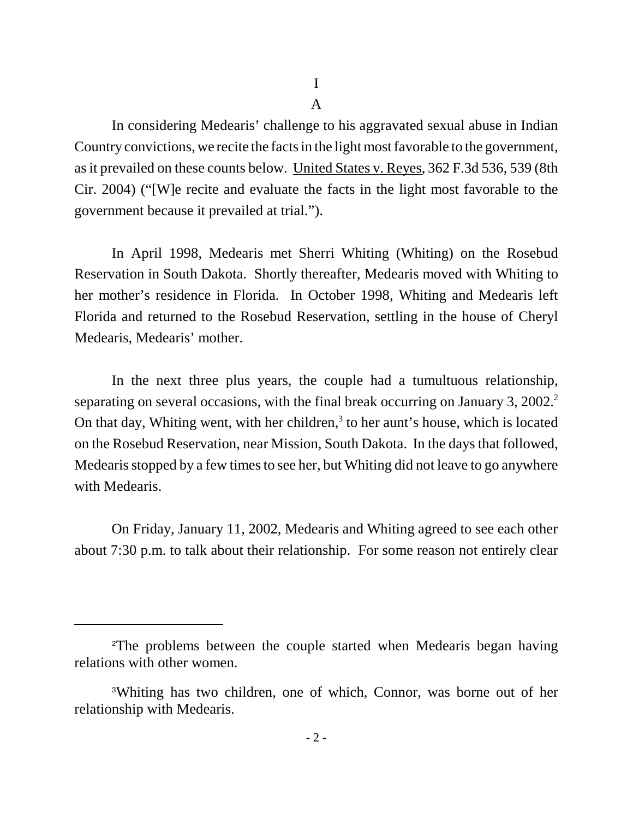I

A

In considering Medearis' challenge to his aggravated sexual abuse in Indian Country convictions, we recite the facts in the light most favorable to the government, as it prevailed on these counts below. United States v. Reyes, 362 F.3d 536, 539 (8th Cir. 2004) ("[W]e recite and evaluate the facts in the light most favorable to the government because it prevailed at trial.").

In April 1998, Medearis met Sherri Whiting (Whiting) on the Rosebud Reservation in South Dakota. Shortly thereafter, Medearis moved with Whiting to her mother's residence in Florida. In October 1998, Whiting and Medearis left Florida and returned to the Rosebud Reservation, settling in the house of Cheryl Medearis, Medearis' mother.

In the next three plus years, the couple had a tumultuous relationship, separating on several occasions, with the final break occurring on January 3, 2002.<sup>2</sup> On that day, Whiting went, with her children,<sup>3</sup> to her aunt's house, which is located on the Rosebud Reservation, near Mission, South Dakota. In the days that followed, Medearis stopped by a few times to see her, but Whiting did not leave to go anywhere with Medearis.

On Friday, January 11, 2002, Medearis and Whiting agreed to see each other about 7:30 p.m. to talk about their relationship. For some reason not entirely clear

<sup>2</sup>The problems between the couple started when Medearis began having relations with other women.

<sup>3</sup>Whiting has two children, one of which, Connor, was borne out of her relationship with Medearis.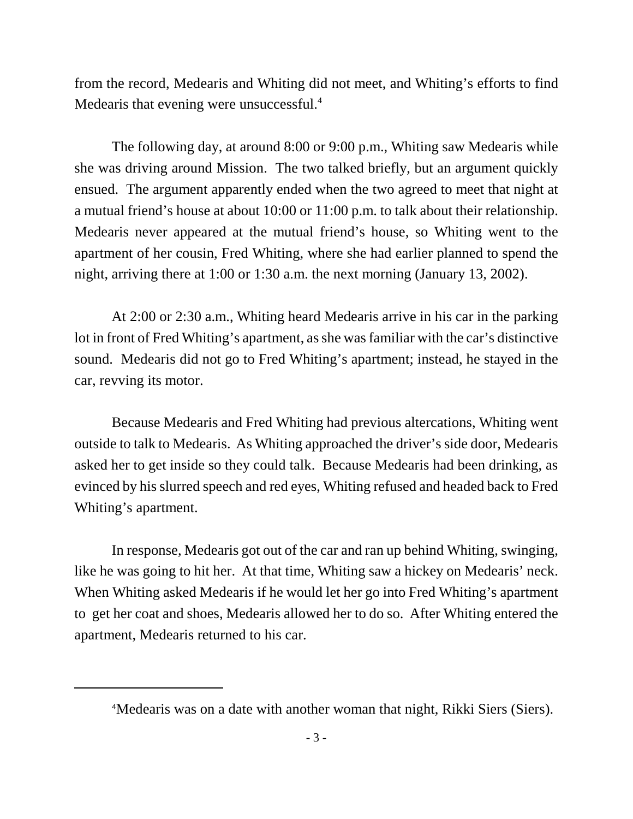from the record, Medearis and Whiting did not meet, and Whiting's efforts to find Medearis that evening were unsuccessful.<sup>4</sup>

The following day, at around 8:00 or 9:00 p.m., Whiting saw Medearis while she was driving around Mission. The two talked briefly, but an argument quickly ensued. The argument apparently ended when the two agreed to meet that night at a mutual friend's house at about 10:00 or 11:00 p.m. to talk about their relationship. Medearis never appeared at the mutual friend's house, so Whiting went to the apartment of her cousin, Fred Whiting, where she had earlier planned to spend the night, arriving there at 1:00 or 1:30 a.m. the next morning (January 13, 2002).

At 2:00 or 2:30 a.m., Whiting heard Medearis arrive in his car in the parking lot in front of Fred Whiting's apartment, as she was familiar with the car's distinctive sound. Medearis did not go to Fred Whiting's apartment; instead, he stayed in the car, revving its motor.

Because Medearis and Fred Whiting had previous altercations, Whiting went outside to talk to Medearis. As Whiting approached the driver's side door, Medearis asked her to get inside so they could talk. Because Medearis had been drinking, as evinced by his slurred speech and red eyes, Whiting refused and headed back to Fred Whiting's apartment.

In response, Medearis got out of the car and ran up behind Whiting, swinging, like he was going to hit her. At that time, Whiting saw a hickey on Medearis' neck. When Whiting asked Medearis if he would let her go into Fred Whiting's apartment to get her coat and shoes, Medearis allowed her to do so. After Whiting entered the apartment, Medearis returned to his car.

<sup>&</sup>lt;sup>4</sup>Medearis was on a date with another woman that night, Rikki Siers (Siers).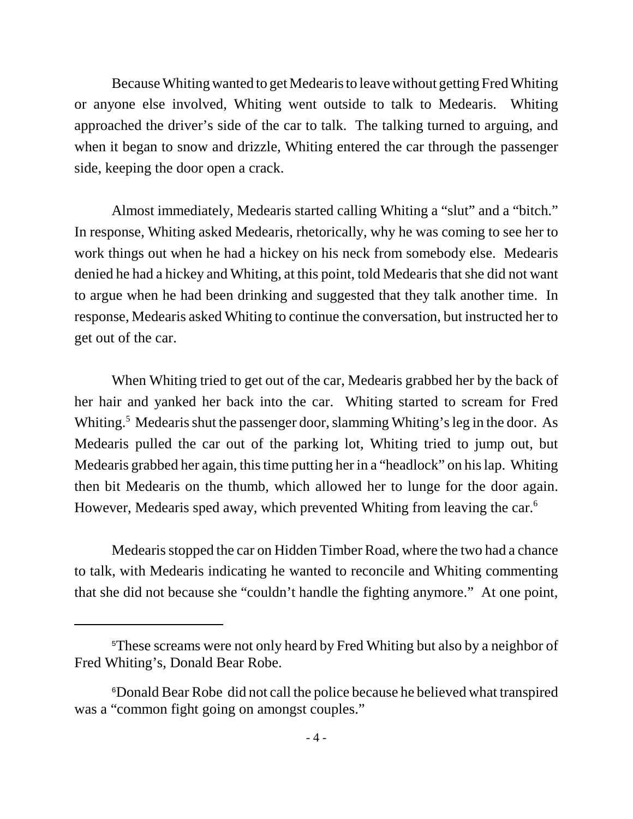Because Whiting wanted to get Medearis to leave without getting Fred Whiting or anyone else involved, Whiting went outside to talk to Medearis. Whiting approached the driver's side of the car to talk. The talking turned to arguing, and when it began to snow and drizzle, Whiting entered the car through the passenger side, keeping the door open a crack.

Almost immediately, Medearis started calling Whiting a "slut" and a "bitch." In response, Whiting asked Medearis, rhetorically, why he was coming to see her to work things out when he had a hickey on his neck from somebody else. Medearis denied he had a hickey and Whiting, at this point, told Medearis that she did not want to argue when he had been drinking and suggested that they talk another time. In response, Medearis asked Whiting to continue the conversation, but instructed her to get out of the car.

When Whiting tried to get out of the car, Medearis grabbed her by the back of her hair and yanked her back into the car. Whiting started to scream for Fred Whiting.<sup>5</sup> Medearis shut the passenger door, slamming Whiting's leg in the door. As Medearis pulled the car out of the parking lot, Whiting tried to jump out, but Medearis grabbed her again, this time putting her in a "headlock" on his lap. Whiting then bit Medearis on the thumb, which allowed her to lunge for the door again. However, Medearis sped away, which prevented Whiting from leaving the car.<sup>6</sup>

Medearis stopped the car on Hidden Timber Road, where the two had a chance to talk, with Medearis indicating he wanted to reconcile and Whiting commenting that she did not because she "couldn't handle the fighting anymore." At one point,

<sup>5</sup>These screams were not only heard by Fred Whiting but also by a neighbor of Fred Whiting's, Donald Bear Robe.

<sup>6</sup>Donald Bear Robe did not call the police because he believed what transpired was a "common fight going on amongst couples."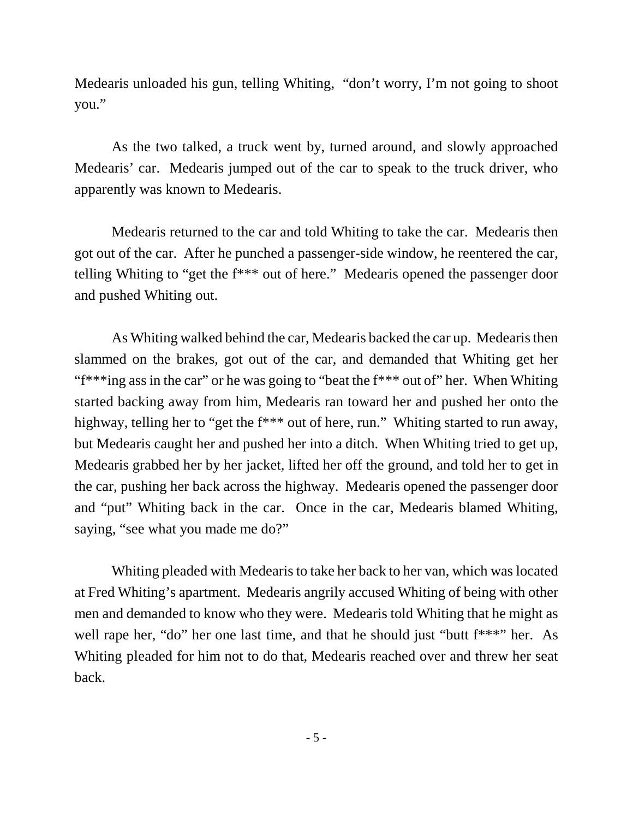Medearis unloaded his gun, telling Whiting, "don't worry, I'm not going to shoot you."

As the two talked, a truck went by, turned around, and slowly approached Medearis' car. Medearis jumped out of the car to speak to the truck driver, who apparently was known to Medearis.

Medearis returned to the car and told Whiting to take the car. Medearis then got out of the car. After he punched a passenger-side window, he reentered the car, telling Whiting to "get the f\*\*\* out of here." Medearis opened the passenger door and pushed Whiting out.

As Whiting walked behind the car, Medearis backed the car up. Medearis then slammed on the brakes, got out of the car, and demanded that Whiting get her "f\*\*\*ing ass in the car" or he was going to "beat the f\*\*\* out of" her. When Whiting started backing away from him, Medearis ran toward her and pushed her onto the highway, telling her to "get the f\*\*\* out of here, run." Whiting started to run away, but Medearis caught her and pushed her into a ditch. When Whiting tried to get up, Medearis grabbed her by her jacket, lifted her off the ground, and told her to get in the car, pushing her back across the highway. Medearis opened the passenger door and "put" Whiting back in the car. Once in the car, Medearis blamed Whiting, saying, "see what you made me do?"

Whiting pleaded with Medearis to take her back to her van, which was located at Fred Whiting's apartment. Medearis angrily accused Whiting of being with other men and demanded to know who they were. Medearis told Whiting that he might as well rape her, "do" her one last time, and that he should just "butt f\*\*\*" her. As Whiting pleaded for him not to do that, Medearis reached over and threw her seat back.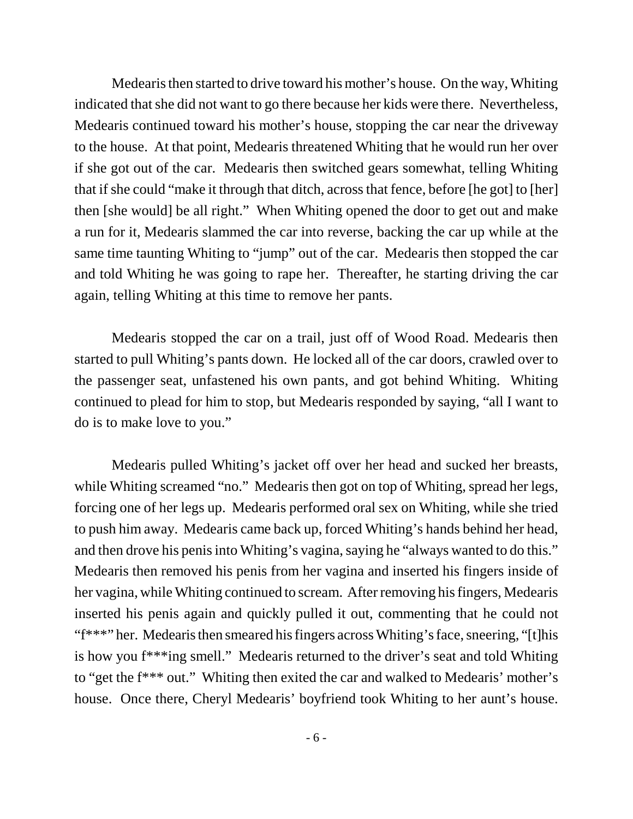Medearis then started to drive toward his mother's house. On the way, Whiting indicated that she did not want to go there because her kids were there. Nevertheless, Medearis continued toward his mother's house, stopping the car near the driveway to the house. At that point, Medearis threatened Whiting that he would run her over if she got out of the car. Medearis then switched gears somewhat, telling Whiting that if she could "make it through that ditch, across that fence, before [he got] to [her] then [she would] be all right." When Whiting opened the door to get out and make a run for it, Medearis slammed the car into reverse, backing the car up while at the same time taunting Whiting to "jump" out of the car. Medearis then stopped the car and told Whiting he was going to rape her. Thereafter, he starting driving the car again, telling Whiting at this time to remove her pants.

Medearis stopped the car on a trail, just off of Wood Road. Medearis then started to pull Whiting's pants down. He locked all of the car doors, crawled over to the passenger seat, unfastened his own pants, and got behind Whiting. Whiting continued to plead for him to stop, but Medearis responded by saying, "all I want to do is to make love to you."

Medearis pulled Whiting's jacket off over her head and sucked her breasts, while Whiting screamed "no." Medearis then got on top of Whiting, spread her legs, forcing one of her legs up. Medearis performed oral sex on Whiting, while she tried to push him away. Medearis came back up, forced Whiting's hands behind her head, and then drove his penis into Whiting's vagina, saying he "always wanted to do this." Medearis then removed his penis from her vagina and inserted his fingers inside of her vagina, while Whiting continued to scream. After removing his fingers, Medearis inserted his penis again and quickly pulled it out, commenting that he could not "f\*\*\*" her. Medearis then smeared his fingers across Whiting's face, sneering, "[t]his is how you f\*\*\*ing smell." Medearis returned to the driver's seat and told Whiting to "get the f\*\*\* out." Whiting then exited the car and walked to Medearis' mother's house. Once there, Cheryl Medearis' boyfriend took Whiting to her aunt's house.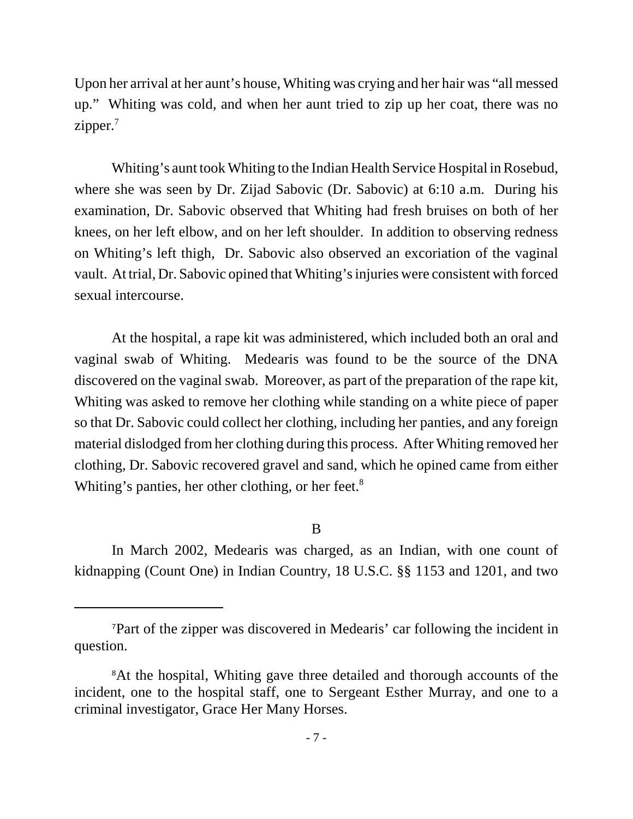Upon her arrival at her aunt's house, Whiting was crying and her hair was "all messed up." Whiting was cold, and when her aunt tried to zip up her coat, there was no zipper.<sup>7</sup>

Whiting's aunt took Whiting to the Indian Health Service Hospital in Rosebud, where she was seen by Dr. Zijad Sabovic (Dr. Sabovic) at 6:10 a.m. During his examination, Dr. Sabovic observed that Whiting had fresh bruises on both of her knees, on her left elbow, and on her left shoulder. In addition to observing redness on Whiting's left thigh, Dr. Sabovic also observed an excoriation of the vaginal vault. At trial, Dr. Sabovic opined that Whiting's injuries were consistent with forced sexual intercourse.

At the hospital, a rape kit was administered, which included both an oral and vaginal swab of Whiting. Medearis was found to be the source of the DNA discovered on the vaginal swab. Moreover, as part of the preparation of the rape kit, Whiting was asked to remove her clothing while standing on a white piece of paper so that Dr. Sabovic could collect her clothing, including her panties, and any foreign material dislodged from her clothing during this process. After Whiting removed her clothing, Dr. Sabovic recovered gravel and sand, which he opined came from either Whiting's panties, her other clothing, or her feet.<sup>8</sup>

## B

In March 2002, Medearis was charged, as an Indian, with one count of kidnapping (Count One) in Indian Country, 18 U.S.C. §§ 1153 and 1201, and two

<sup>7</sup>Part of the zipper was discovered in Medearis' car following the incident in question.

<sup>&</sup>lt;sup>8</sup>At the hospital, Whiting gave three detailed and thorough accounts of the incident, one to the hospital staff, one to Sergeant Esther Murray, and one to a criminal investigator, Grace Her Many Horses.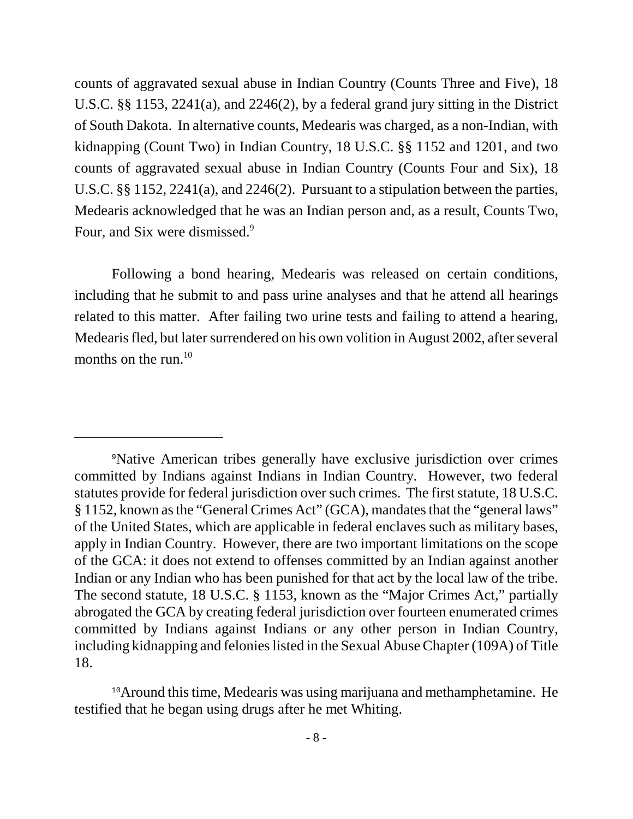counts of aggravated sexual abuse in Indian Country (Counts Three and Five), 18 U.S.C. §§ 1153, 2241(a), and 2246(2), by a federal grand jury sitting in the District of South Dakota. In alternative counts, Medearis was charged, as a non-Indian, with kidnapping (Count Two) in Indian Country, 18 U.S.C. §§ 1152 and 1201, and two counts of aggravated sexual abuse in Indian Country (Counts Four and Six), 18 U.S.C. §§ 1152, 2241(a), and 2246(2). Pursuant to a stipulation between the parties, Medearis acknowledged that he was an Indian person and, as a result, Counts Two, Four, and Six were dismissed.<sup>9</sup>

Following a bond hearing, Medearis was released on certain conditions, including that he submit to and pass urine analyses and that he attend all hearings related to this matter. After failing two urine tests and failing to attend a hearing, Medearis fled, but later surrendered on his own volition in August 2002, after several months on the run. $^{10}$ 

<sup>9</sup>Native American tribes generally have exclusive jurisdiction over crimes committed by Indians against Indians in Indian Country. However, two federal statutes provide for federal jurisdiction over such crimes. The first statute, 18 U.S.C. § 1152, known as the "General Crimes Act" (GCA), mandates that the "general laws" of the United States, which are applicable in federal enclaves such as military bases, apply in Indian Country. However, there are two important limitations on the scope of the GCA: it does not extend to offenses committed by an Indian against another Indian or any Indian who has been punished for that act by the local law of the tribe. The second statute, 18 U.S.C. § 1153, known as the "Major Crimes Act," partially abrogated the GCA by creating federal jurisdiction over fourteen enumerated crimes committed by Indians against Indians or any other person in Indian Country, including kidnapping and felonies listed in the Sexual Abuse Chapter (109A) of Title 18.

<sup>&</sup>lt;sup>10</sup>Around this time, Medearis was using marijuana and methamphetamine. He testified that he began using drugs after he met Whiting.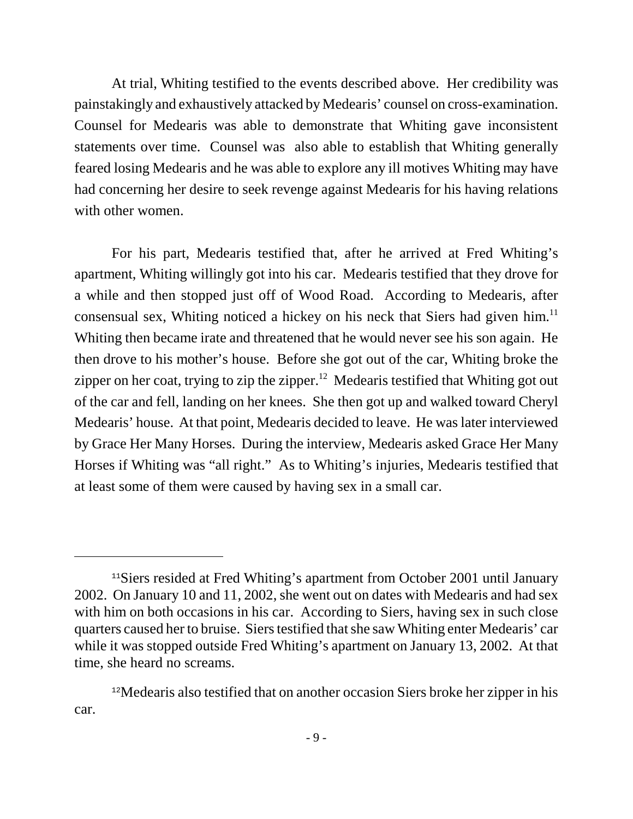At trial, Whiting testified to the events described above. Her credibility was painstakingly and exhaustively attacked by Medearis' counsel on cross-examination. Counsel for Medearis was able to demonstrate that Whiting gave inconsistent statements over time. Counsel was also able to establish that Whiting generally feared losing Medearis and he was able to explore any ill motives Whiting may have had concerning her desire to seek revenge against Medearis for his having relations with other women.

For his part, Medearis testified that, after he arrived at Fred Whiting's apartment, Whiting willingly got into his car. Medearis testified that they drove for a while and then stopped just off of Wood Road. According to Medearis, after consensual sex, Whiting noticed a hickey on his neck that Siers had given him.<sup>11</sup> Whiting then became irate and threatened that he would never see his son again. He then drove to his mother's house. Before she got out of the car, Whiting broke the zipper on her coat, trying to zip the zipper.<sup>12</sup> Medearis testified that Whiting got out of the car and fell, landing on her knees. She then got up and walked toward Cheryl Medearis' house. At that point, Medearis decided to leave. He was later interviewed by Grace Her Many Horses. During the interview, Medearis asked Grace Her Many Horses if Whiting was "all right." As to Whiting's injuries, Medearis testified that at least some of them were caused by having sex in a small car.

<sup>&</sup>lt;sup>11</sup>Siers resided at Fred Whiting's apartment from October 2001 until January 2002. On January 10 and 11, 2002, she went out on dates with Medearis and had sex with him on both occasions in his car. According to Siers, having sex in such close quarters caused her to bruise. Siers testified that she saw Whiting enter Medearis' car while it was stopped outside Fred Whiting's apartment on January 13, 2002. At that time, she heard no screams.

<sup>&</sup>lt;sup>12</sup>Medearis also testified that on another occasion Siers broke her zipper in his car.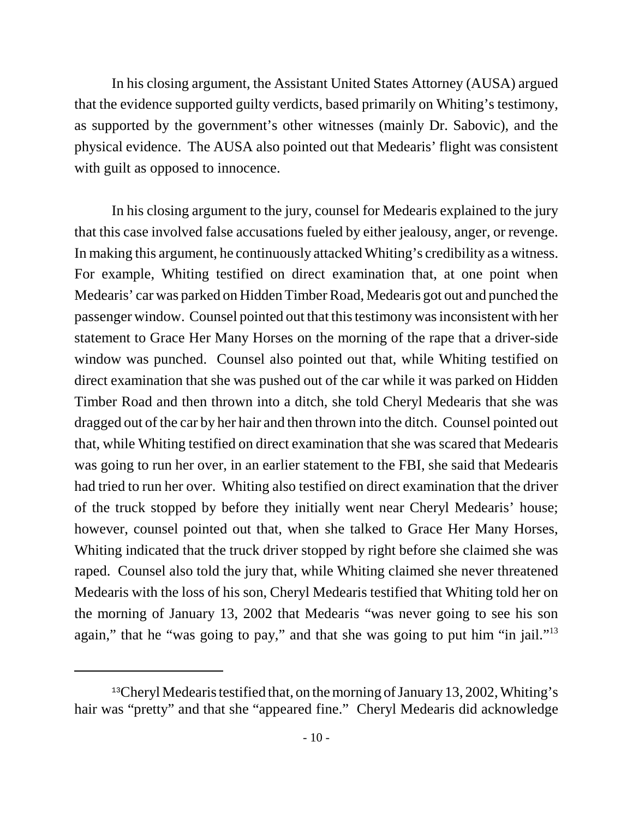In his closing argument, the Assistant United States Attorney (AUSA) argued that the evidence supported guilty verdicts, based primarily on Whiting's testimony, as supported by the government's other witnesses (mainly Dr. Sabovic), and the physical evidence. The AUSA also pointed out that Medearis' flight was consistent with guilt as opposed to innocence.

In his closing argument to the jury, counsel for Medearis explained to the jury that this case involved false accusations fueled by either jealousy, anger, or revenge. In making this argument, he continuously attacked Whiting's credibility as a witness. For example, Whiting testified on direct examination that, at one point when Medearis' car was parked on Hidden Timber Road, Medearis got out and punched the passenger window. Counsel pointed out that this testimony was inconsistent with her statement to Grace Her Many Horses on the morning of the rape that a driver-side window was punched. Counsel also pointed out that, while Whiting testified on direct examination that she was pushed out of the car while it was parked on Hidden Timber Road and then thrown into a ditch, she told Cheryl Medearis that she was dragged out of the car by her hair and then thrown into the ditch. Counsel pointed out that, while Whiting testified on direct examination that she was scared that Medearis was going to run her over, in an earlier statement to the FBI, she said that Medearis had tried to run her over. Whiting also testified on direct examination that the driver of the truck stopped by before they initially went near Cheryl Medearis' house; however, counsel pointed out that, when she talked to Grace Her Many Horses, Whiting indicated that the truck driver stopped by right before she claimed she was raped. Counsel also told the jury that, while Whiting claimed she never threatened Medearis with the loss of his son, Cheryl Medearis testified that Whiting told her on the morning of January 13, 2002 that Medearis "was never going to see his son again," that he "was going to pay," and that she was going to put him "in jail."<sup>13</sup>

<sup>&</sup>lt;sup>13</sup>Cheryl Medearis testified that, on the morning of January 13, 2002, Whiting's hair was "pretty" and that she "appeared fine." Cheryl Medearis did acknowledge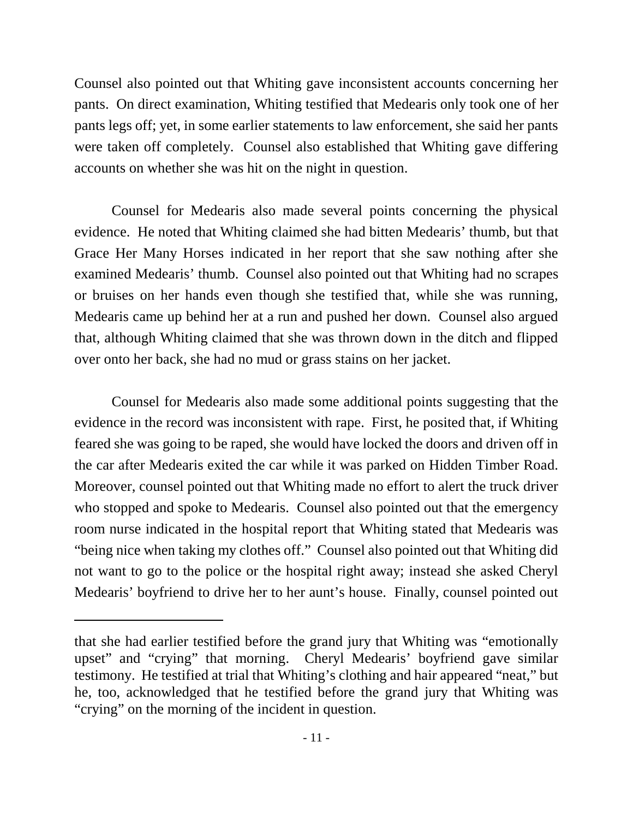Counsel also pointed out that Whiting gave inconsistent accounts concerning her pants. On direct examination, Whiting testified that Medearis only took one of her pants legs off; yet, in some earlier statements to law enforcement, she said her pants were taken off completely. Counsel also established that Whiting gave differing accounts on whether she was hit on the night in question.

Counsel for Medearis also made several points concerning the physical evidence. He noted that Whiting claimed she had bitten Medearis' thumb, but that Grace Her Many Horses indicated in her report that she saw nothing after she examined Medearis' thumb. Counsel also pointed out that Whiting had no scrapes or bruises on her hands even though she testified that, while she was running, Medearis came up behind her at a run and pushed her down. Counsel also argued that, although Whiting claimed that she was thrown down in the ditch and flipped over onto her back, she had no mud or grass stains on her jacket.

Counsel for Medearis also made some additional points suggesting that the evidence in the record was inconsistent with rape. First, he posited that, if Whiting feared she was going to be raped, she would have locked the doors and driven off in the car after Medearis exited the car while it was parked on Hidden Timber Road. Moreover, counsel pointed out that Whiting made no effort to alert the truck driver who stopped and spoke to Medearis. Counsel also pointed out that the emergency room nurse indicated in the hospital report that Whiting stated that Medearis was "being nice when taking my clothes off." Counsel also pointed out that Whiting did not want to go to the police or the hospital right away; instead she asked Cheryl Medearis' boyfriend to drive her to her aunt's house. Finally, counsel pointed out

that she had earlier testified before the grand jury that Whiting was "emotionally upset" and "crying" that morning. Cheryl Medearis' boyfriend gave similar testimony. He testified at trial that Whiting's clothing and hair appeared "neat," but he, too, acknowledged that he testified before the grand jury that Whiting was "crying" on the morning of the incident in question.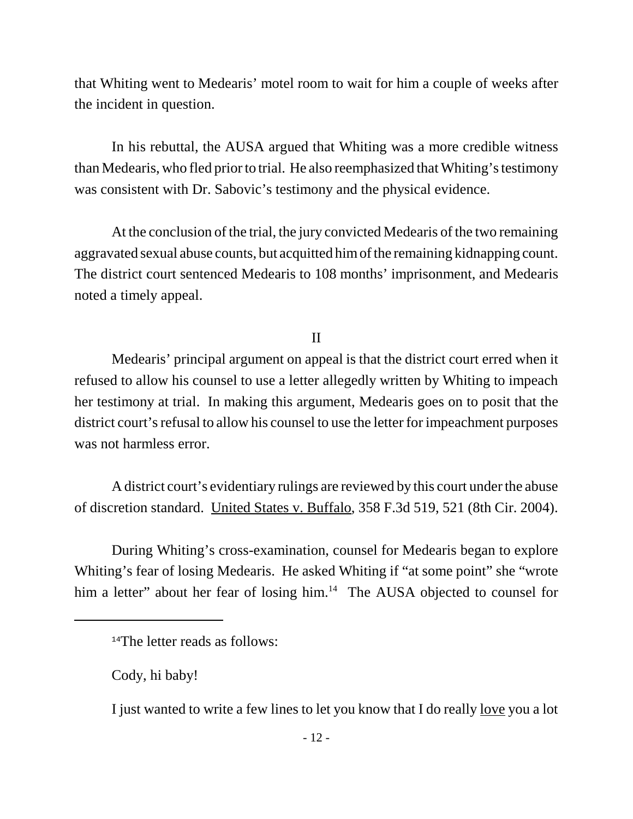that Whiting went to Medearis' motel room to wait for him a couple of weeks after the incident in question.

In his rebuttal, the AUSA argued that Whiting was a more credible witness than Medearis, who fled prior to trial. He also reemphasized that Whiting's testimony was consistent with Dr. Sabovic's testimony and the physical evidence.

At the conclusion of the trial, the jury convicted Medearis of the two remaining aggravated sexual abuse counts, but acquitted him of the remaining kidnapping count. The district court sentenced Medearis to 108 months' imprisonment, and Medearis noted a timely appeal.

II

Medearis' principal argument on appeal is that the district court erred when it refused to allow his counsel to use a letter allegedly written by Whiting to impeach her testimony at trial. In making this argument, Medearis goes on to posit that the district court's refusal to allow his counsel to use the letter for impeachment purposes was not harmless error.

A district court's evidentiary rulings are reviewed by this court under the abuse of discretion standard. United States v. Buffalo, 358 F.3d 519, 521 (8th Cir. 2004).

During Whiting's cross-examination, counsel for Medearis began to explore Whiting's fear of losing Medearis. He asked Whiting if "at some point" she "wrote him a letter" about her fear of losing him.<sup>14</sup> The AUSA objected to counsel for

<sup>&</sup>lt;sup>14</sup>The letter reads as follows:

Cody, hi baby!

I just wanted to write a few lines to let you know that I do really <u>love</u> you a lot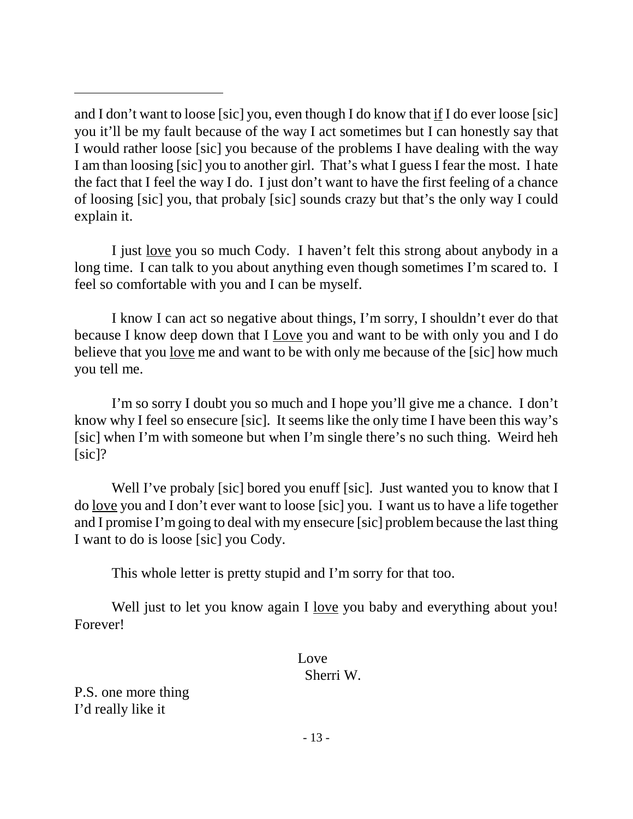I just love you so much Cody. I haven't felt this strong about anybody in a long time. I can talk to you about anything even though sometimes I'm scared to. I feel so comfortable with you and I can be myself.

I know I can act so negative about things, I'm sorry, I shouldn't ever do that because I know deep down that I Love you and want to be with only you and I do believe that you love me and want to be with only me because of the [sic] how much you tell me.

I'm so sorry I doubt you so much and I hope you'll give me a chance. I don't know why I feel so ensecure [sic]. It seems like the only time I have been this way's [sic] when I'm with someone but when I'm single there's no such thing. Weird heh [sic]?

Well I've probaly [sic] bored you enuff [sic]. Just wanted you to know that I do love you and I don't ever want to loose [sic] you. I want us to have a life together and I promise I'm going to deal with my ensecure [sic] problem because the last thing I want to do is loose [sic] you Cody.

This whole letter is pretty stupid and I'm sorry for that too.

Well just to let you know again I <u>love</u> you baby and everything about you! Forever!

## Love Sherri W.

P.S. one more thing I'd really like it

and I don't want to loose [sic] you, even though I do know that if I do ever loose [sic] you it'll be my fault because of the way I act sometimes but I can honestly say that I would rather loose [sic] you because of the problems I have dealing with the way I am than loosing [sic] you to another girl. That's what I guess I fear the most. I hate the fact that I feel the way I do. I just don't want to have the first feeling of a chance of loosing [sic] you, that probaly [sic] sounds crazy but that's the only way I could explain it.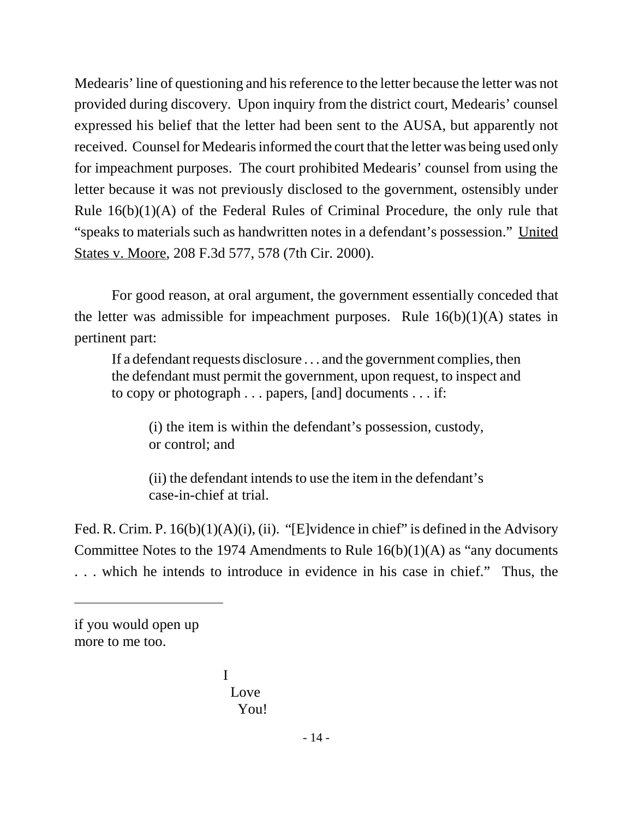Medearis' line of questioning and his reference to the letter because the letter was not provided during discovery. Upon inquiry from the district court, Medearis' counsel expressed his belief that the letter had been sent to the AUSA, but apparently not received. Counsel for Medearis informed the court that the letter was being used only for impeachment purposes. The court prohibited Medearis' counsel from using the letter because it was not previously disclosed to the government, ostensibly under Rule 16(b)(1)(A) of the Federal Rules of Criminal Procedure, the only rule that "speaks to materials such as handwritten notes in a defendant's possession." United States v. Moore, 208 F.3d 577, 578 (7th Cir. 2000).

For good reason, at oral argument, the government essentially conceded that the letter was admissible for impeachment purposes. Rule  $16(b)(1)(A)$  states in pertinent part:

If a defendant requests disclosure . . . and the government complies, then the defendant must permit the government, upon request, to inspect and to copy or photograph . . . papers, [and] documents . . . if:

(i) the item is within the defendant's possession, custody, or control; and

(ii) the defendant intends to use the item in the defendant's case-in-chief at trial.

Fed. R. Crim. P. 16(b)(1)(A)(i), (ii). "[E]vidence in chief" is defined in the Advisory Committee Notes to the 1974 Amendments to Rule  $16(b)(1)(A)$  as "any documents" . . . which he intends to introduce in evidence in his case in chief." Thus, the

I Love You!

if you would open up more to me too.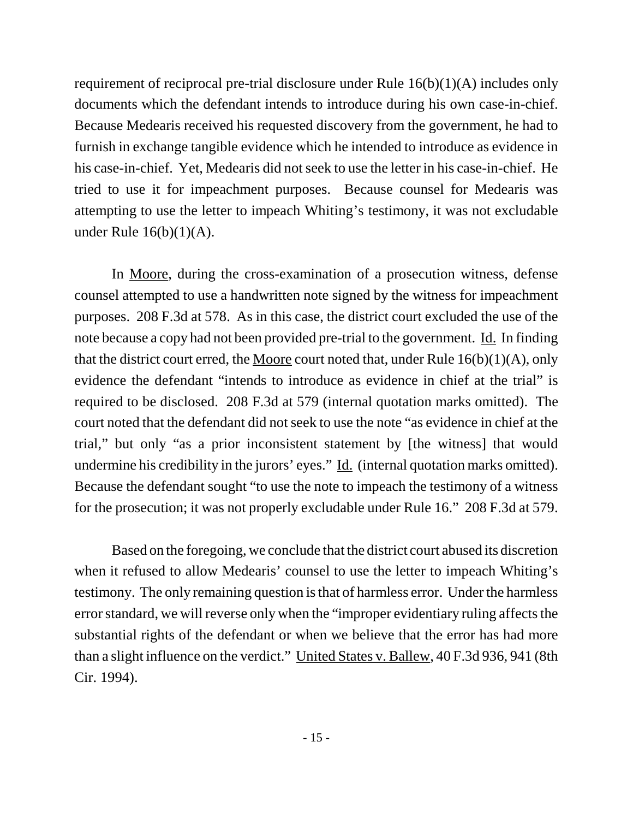requirement of reciprocal pre-trial disclosure under Rule 16(b)(1)(A) includes only documents which the defendant intends to introduce during his own case-in-chief. Because Medearis received his requested discovery from the government, he had to furnish in exchange tangible evidence which he intended to introduce as evidence in his case-in-chief. Yet, Medearis did not seek to use the letter in his case-in-chief. He tried to use it for impeachment purposes. Because counsel for Medearis was attempting to use the letter to impeach Whiting's testimony, it was not excludable under Rule 16(b)(1)(A).

In Moore, during the cross-examination of a prosecution witness, defense counsel attempted to use a handwritten note signed by the witness for impeachment purposes. 208 F.3d at 578. As in this case, the district court excluded the use of the note because a copy had not been provided pre-trial to the government. Id. In finding that the district court erred, the Moore court noted that, under Rule  $16(b)(1)(A)$ , only evidence the defendant "intends to introduce as evidence in chief at the trial" is required to be disclosed. 208 F.3d at 579 (internal quotation marks omitted). The court noted that the defendant did not seek to use the note "as evidence in chief at the trial," but only "as a prior inconsistent statement by [the witness] that would undermine his credibility in the jurors' eyes." Id. (internal quotation marks omitted). Because the defendant sought "to use the note to impeach the testimony of a witness for the prosecution; it was not properly excludable under Rule 16." 208 F.3d at 579.

Based on the foregoing, we conclude that the district court abused its discretion when it refused to allow Medearis' counsel to use the letter to impeach Whiting's testimony. The only remaining question is that of harmless error. Under the harmless error standard, we will reverse only when the "improper evidentiary ruling affects the substantial rights of the defendant or when we believe that the error has had more than a slight influence on the verdict." United States v. Ballew, 40 F.3d 936, 941 (8th Cir. 1994).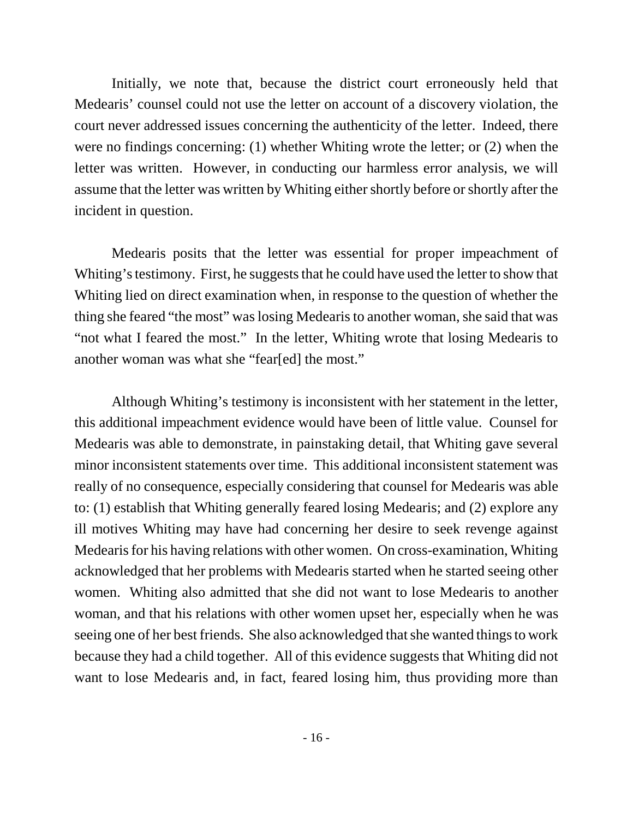Initially, we note that, because the district court erroneously held that Medearis' counsel could not use the letter on account of a discovery violation, the court never addressed issues concerning the authenticity of the letter. Indeed, there were no findings concerning: (1) whether Whiting wrote the letter; or (2) when the letter was written. However, in conducting our harmless error analysis, we will assume that the letter was written by Whiting either shortly before or shortly after the incident in question.

Medearis posits that the letter was essential for proper impeachment of Whiting's testimony. First, he suggests that he could have used the letter to show that Whiting lied on direct examination when, in response to the question of whether the thing she feared "the most" was losing Medearis to another woman, she said that was "not what I feared the most." In the letter, Whiting wrote that losing Medearis to another woman was what she "fear[ed] the most."

Although Whiting's testimony is inconsistent with her statement in the letter, this additional impeachment evidence would have been of little value. Counsel for Medearis was able to demonstrate, in painstaking detail, that Whiting gave several minor inconsistent statements over time. This additional inconsistent statement was really of no consequence, especially considering that counsel for Medearis was able to: (1) establish that Whiting generally feared losing Medearis; and (2) explore any ill motives Whiting may have had concerning her desire to seek revenge against Medearis for his having relations with other women. On cross-examination, Whiting acknowledged that her problems with Medearis started when he started seeing other women. Whiting also admitted that she did not want to lose Medearis to another woman, and that his relations with other women upset her, especially when he was seeing one of her best friends. She also acknowledged that she wanted things to work because they had a child together. All of this evidence suggests that Whiting did not want to lose Medearis and, in fact, feared losing him, thus providing more than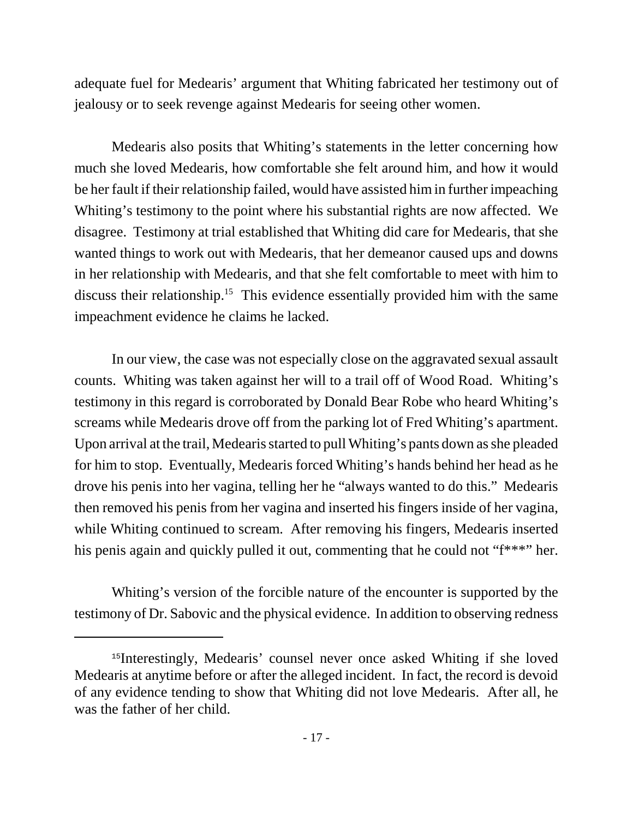adequate fuel for Medearis' argument that Whiting fabricated her testimony out of jealousy or to seek revenge against Medearis for seeing other women.

Medearis also posits that Whiting's statements in the letter concerning how much she loved Medearis, how comfortable she felt around him, and how it would be her fault if their relationship failed, would have assisted him in further impeaching Whiting's testimony to the point where his substantial rights are now affected. We disagree. Testimony at trial established that Whiting did care for Medearis, that she wanted things to work out with Medearis, that her demeanor caused ups and downs in her relationship with Medearis, and that she felt comfortable to meet with him to discuss their relationship.15 This evidence essentially provided him with the same impeachment evidence he claims he lacked.

In our view, the case was not especially close on the aggravated sexual assault counts. Whiting was taken against her will to a trail off of Wood Road. Whiting's testimony in this regard is corroborated by Donald Bear Robe who heard Whiting's screams while Medearis drove off from the parking lot of Fred Whiting's apartment. Upon arrival at the trail, Medearis started to pull Whiting's pants down as she pleaded for him to stop. Eventually, Medearis forced Whiting's hands behind her head as he drove his penis into her vagina, telling her he "always wanted to do this." Medearis then removed his penis from her vagina and inserted his fingers inside of her vagina, while Whiting continued to scream. After removing his fingers, Medearis inserted his penis again and quickly pulled it out, commenting that he could not "f\*\*\*" her.

Whiting's version of the forcible nature of the encounter is supported by the testimony of Dr. Sabovic and the physical evidence. In addition to observing redness

<sup>&</sup>lt;sup>15</sup>Interestingly, Medearis' counsel never once asked Whiting if she loved Medearis at anytime before or after the alleged incident. In fact, the record is devoid of any evidence tending to show that Whiting did not love Medearis. After all, he was the father of her child.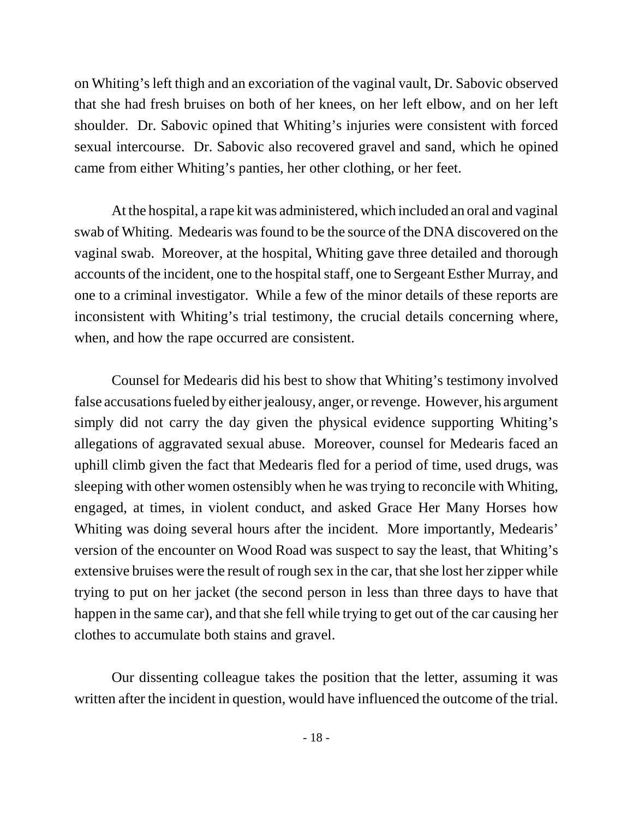on Whiting's left thigh and an excoriation of the vaginal vault, Dr. Sabovic observed that she had fresh bruises on both of her knees, on her left elbow, and on her left shoulder. Dr. Sabovic opined that Whiting's injuries were consistent with forced sexual intercourse. Dr. Sabovic also recovered gravel and sand, which he opined came from either Whiting's panties, her other clothing, or her feet.

At the hospital, a rape kit was administered, which included an oral and vaginal swab of Whiting. Medearis was found to be the source of the DNA discovered on the vaginal swab. Moreover, at the hospital, Whiting gave three detailed and thorough accounts of the incident, one to the hospital staff, one to Sergeant Esther Murray, and one to a criminal investigator. While a few of the minor details of these reports are inconsistent with Whiting's trial testimony, the crucial details concerning where, when, and how the rape occurred are consistent.

Counsel for Medearis did his best to show that Whiting's testimony involved false accusations fueled by either jealousy, anger, or revenge. However, his argument simply did not carry the day given the physical evidence supporting Whiting's allegations of aggravated sexual abuse. Moreover, counsel for Medearis faced an uphill climb given the fact that Medearis fled for a period of time, used drugs, was sleeping with other women ostensibly when he was trying to reconcile with Whiting, engaged, at times, in violent conduct, and asked Grace Her Many Horses how Whiting was doing several hours after the incident. More importantly, Medearis' version of the encounter on Wood Road was suspect to say the least, that Whiting's extensive bruises were the result of rough sex in the car, that she lost her zipper while trying to put on her jacket (the second person in less than three days to have that happen in the same car), and that she fell while trying to get out of the car causing her clothes to accumulate both stains and gravel.

Our dissenting colleague takes the position that the letter, assuming it was written after the incident in question, would have influenced the outcome of the trial.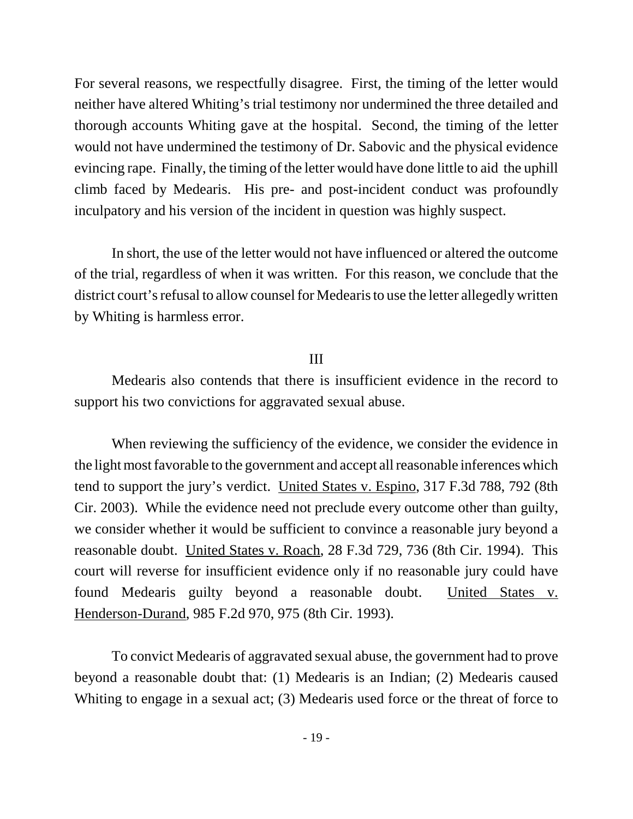For several reasons, we respectfully disagree. First, the timing of the letter would neither have altered Whiting's trial testimony nor undermined the three detailed and thorough accounts Whiting gave at the hospital. Second, the timing of the letter would not have undermined the testimony of Dr. Sabovic and the physical evidence evincing rape. Finally, the timing of the letter would have done little to aid the uphill climb faced by Medearis. His pre- and post-incident conduct was profoundly inculpatory and his version of the incident in question was highly suspect.

In short, the use of the letter would not have influenced or altered the outcome of the trial, regardless of when it was written. For this reason, we conclude that the district court's refusal to allow counsel for Medearis to use the letter allegedly written by Whiting is harmless error.

## III

Medearis also contends that there is insufficient evidence in the record to support his two convictions for aggravated sexual abuse.

When reviewing the sufficiency of the evidence, we consider the evidence in the light most favorable to the government and accept all reasonable inferences which tend to support the jury's verdict. United States v. Espino, 317 F.3d 788, 792 (8th Cir. 2003). While the evidence need not preclude every outcome other than guilty, we consider whether it would be sufficient to convince a reasonable jury beyond a reasonable doubt. United States v. Roach, 28 F.3d 729, 736 (8th Cir. 1994). This court will reverse for insufficient evidence only if no reasonable jury could have found Medearis guilty beyond a reasonable doubt. United States v. Henderson-Durand, 985 F.2d 970, 975 (8th Cir. 1993).

To convict Medearis of aggravated sexual abuse, the government had to prove beyond a reasonable doubt that: (1) Medearis is an Indian; (2) Medearis caused Whiting to engage in a sexual act; (3) Medearis used force or the threat of force to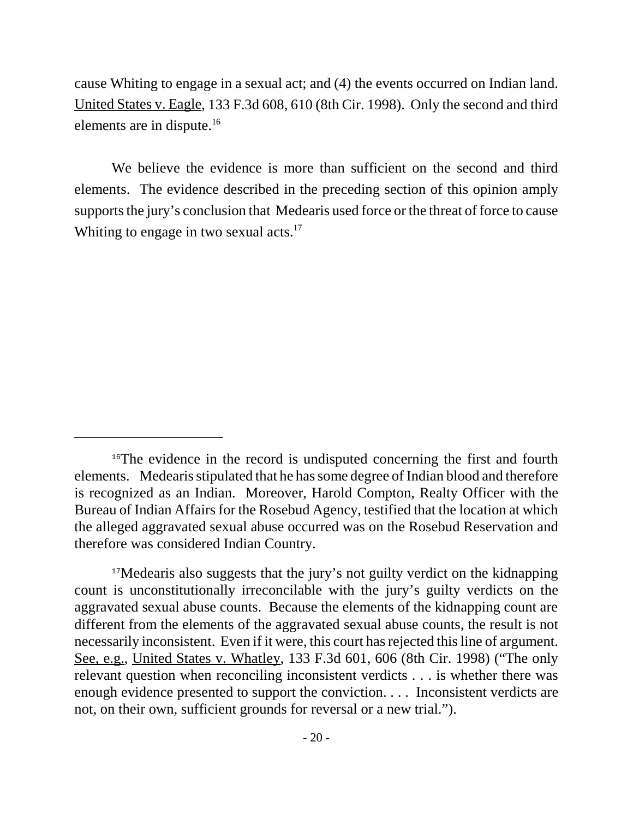cause Whiting to engage in a sexual act; and (4) the events occurred on Indian land. United States v. Eagle, 133 F.3d 608, 610 (8th Cir. 1998). Only the second and third elements are in dispute.<sup>16</sup>

We believe the evidence is more than sufficient on the second and third elements. The evidence described in the preceding section of this opinion amply supports the jury's conclusion that Medearis used force or the threat of force to cause Whiting to engage in two sexual  $\arctan 17$ 

<sup>&</sup>lt;sup>16</sup>The evidence in the record is undisputed concerning the first and fourth elements. Medearis stipulated that he has some degree of Indian blood and therefore is recognized as an Indian. Moreover, Harold Compton, Realty Officer with the Bureau of Indian Affairs for the Rosebud Agency, testified that the location at which the alleged aggravated sexual abuse occurred was on the Rosebud Reservation and therefore was considered Indian Country.

<sup>&</sup>lt;sup>17</sup>Medearis also suggests that the jury's not guilty verdict on the kidnapping count is unconstitutionally irreconcilable with the jury's guilty verdicts on the aggravated sexual abuse counts. Because the elements of the kidnapping count are different from the elements of the aggravated sexual abuse counts, the result is not necessarily inconsistent. Even if it were, this court has rejected this line of argument. See, e.g., United States v. Whatley, 133 F.3d 601, 606 (8th Cir. 1998) ("The only relevant question when reconciling inconsistent verdicts . . . is whether there was enough evidence presented to support the conviction. . . . Inconsistent verdicts are not, on their own, sufficient grounds for reversal or a new trial.").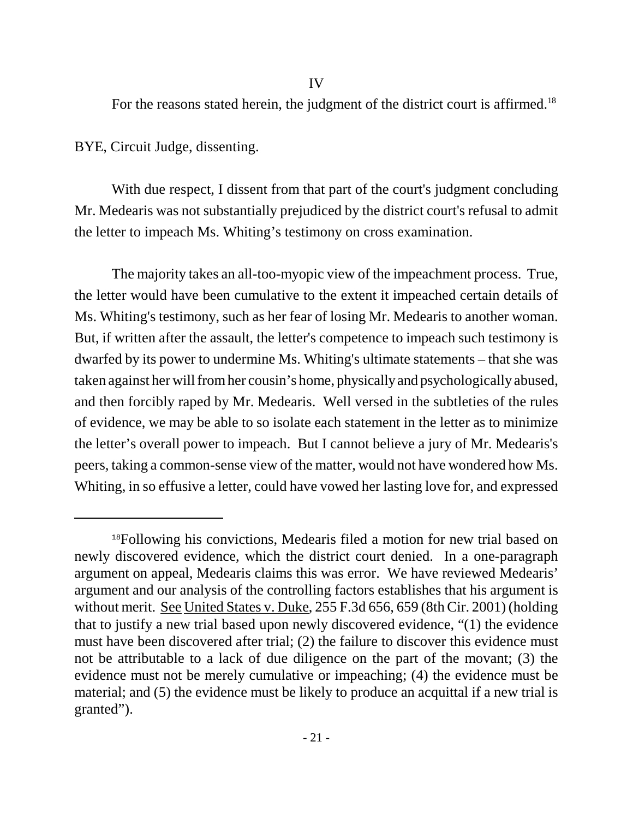For the reasons stated herein, the judgment of the district court is affirmed.<sup>18</sup>

BYE, Circuit Judge, dissenting.

With due respect, I dissent from that part of the court's judgment concluding Mr. Medearis was not substantially prejudiced by the district court's refusal to admit the letter to impeach Ms. Whiting's testimony on cross examination.

The majority takes an all-too-myopic view of the impeachment process. True, the letter would have been cumulative to the extent it impeached certain details of Ms. Whiting's testimony, such as her fear of losing Mr. Medearis to another woman. But, if written after the assault, the letter's competence to impeach such testimony is dwarfed by its power to undermine Ms. Whiting's ultimate statements – that she was taken against her will from her cousin's home, physically and psychologically abused, and then forcibly raped by Mr. Medearis. Well versed in the subtleties of the rules of evidence, we may be able to so isolate each statement in the letter as to minimize the letter's overall power to impeach. But I cannot believe a jury of Mr. Medearis's peers, taking a common-sense view of the matter, would not have wondered how Ms. Whiting, in so effusive a letter, could have vowed her lasting love for, and expressed

<sup>&</sup>lt;sup>18</sup>Following his convictions, Medearis filed a motion for new trial based on newly discovered evidence, which the district court denied. In a one-paragraph argument on appeal, Medearis claims this was error. We have reviewed Medearis' argument and our analysis of the controlling factors establishes that his argument is without merit. See United States v. Duke, 255 F.3d 656, 659 (8th Cir. 2001) (holding that to justify a new trial based upon newly discovered evidence, "(1) the evidence must have been discovered after trial; (2) the failure to discover this evidence must not be attributable to a lack of due diligence on the part of the movant; (3) the evidence must not be merely cumulative or impeaching; (4) the evidence must be material; and (5) the evidence must be likely to produce an acquittal if a new trial is granted").